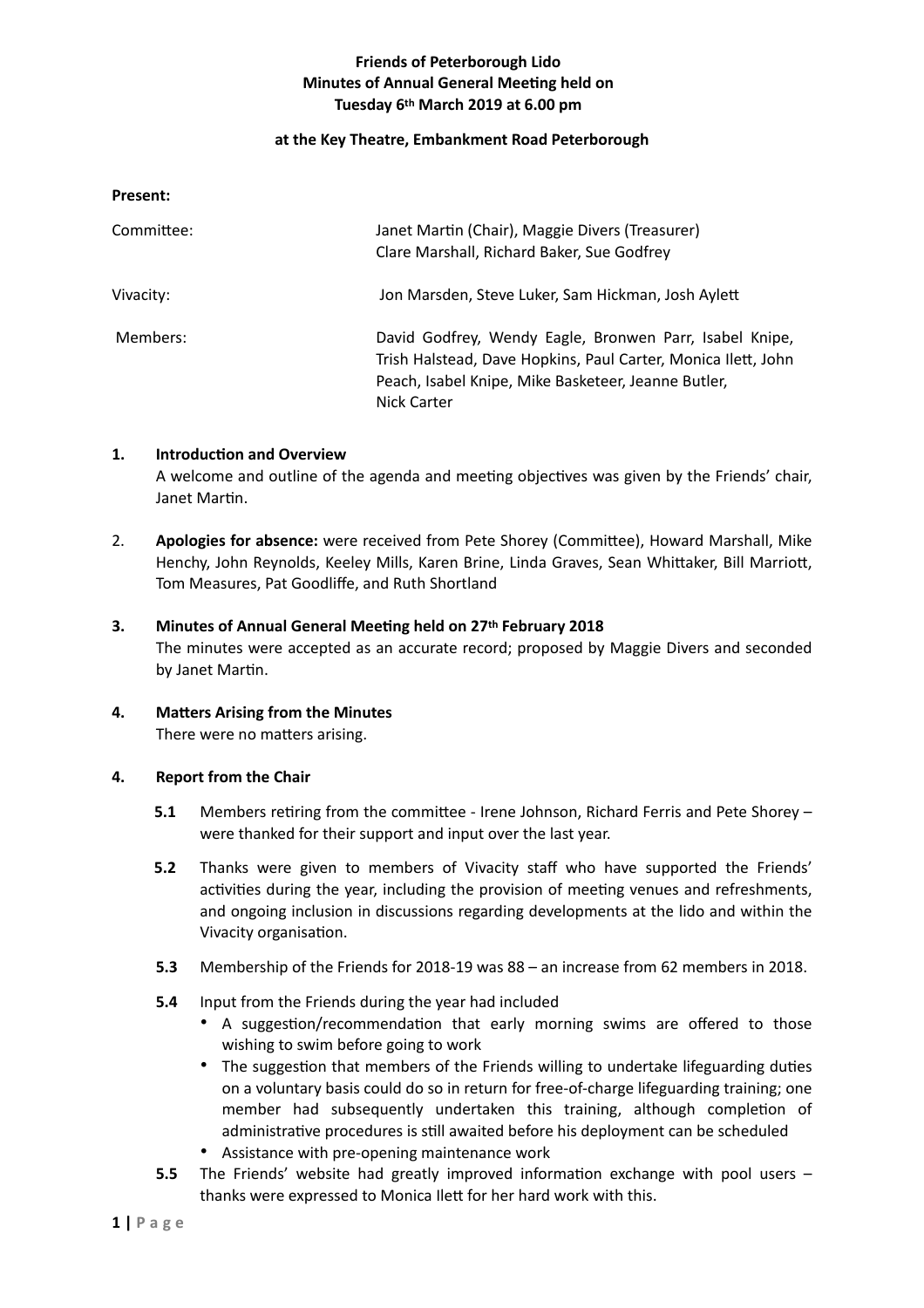# **Friends of Peterborough Lido Minutes of Annual General Meeting held on Tuesday 6th March 2019 at 6.00 pm**

### **at the Key Theatre, Embankment Road Peterborough**

**Present:** 

| Committee: | Janet Martin (Chair), Maggie Divers (Treasurer)<br>Clare Marshall, Richard Baker, Sue Godfrey                                                                                                         |
|------------|-------------------------------------------------------------------------------------------------------------------------------------------------------------------------------------------------------|
| Vivacity:  | Jon Marsden, Steve Luker, Sam Hickman, Josh Aylett                                                                                                                                                    |
| Members:   | David Godfrey, Wendy Eagle, Bronwen Parr, Isabel Knipe,<br>Trish Halstead, Dave Hopkins, Paul Carter, Monica Ilett, John<br>Peach, Isabel Knipe, Mike Basketeer, Jeanne Butler,<br><b>Nick Carter</b> |

### 1. **Introduction and Overview**

A welcome and outline of the agenda and meeting objectives was given by the Friends' chair, Janet Martin.

2. **Apologies for absence:** were received from Pete Shorey (Committee), Howard Marshall, Mike Henchy, John Reynolds, Keeley Mills, Karen Brine, Linda Graves, Sean Whittaker, Bill Marriott, Tom Measures, Pat Goodliffe, and Ruth Shortland

## **3. Minutes of Annual General Meeting held on 27th February 2018**

The minutes were accepted as an accurate record; proposed by Maggie Divers and seconded by Janet Martin.

**4.** Matters Arising from the Minutes There were no matters arising.

### **4. Report from the Chair**

- **5.1** Members retiring from the committee Irene Johnson, Richard Ferris and Pete Shorey were thanked for their support and input over the last year.
- **5.2** Thanks were given to members of Vivacity staff who have supported the Friends' activities during the year, including the provision of meeting venues and refreshments, and ongoing inclusion in discussions regarding developments at the lido and within the Vivacity organisation.
- **5.3** Membership of the Friends for 2018-19 was 88 an increase from 62 members in 2018.
- **5.4** Input from the Friends during the year had included
	- A suggestion/recommendation that early morning swims are offered to those wishing to swim before going to work
	- The suggestion that members of the Friends willing to undertake lifeguarding duties on a voluntary basis could do so in return for free-of-charge lifeguarding training; one member had subsequently undertaken this training, although completion of administrative procedures is still awaited before his deployment can be scheduled
	- Assistance with pre-opening maintenance work
- **5.5** The Friends' website had greatly improved information exchange with pool users thanks were expressed to Monica Ilett for her hard work with this.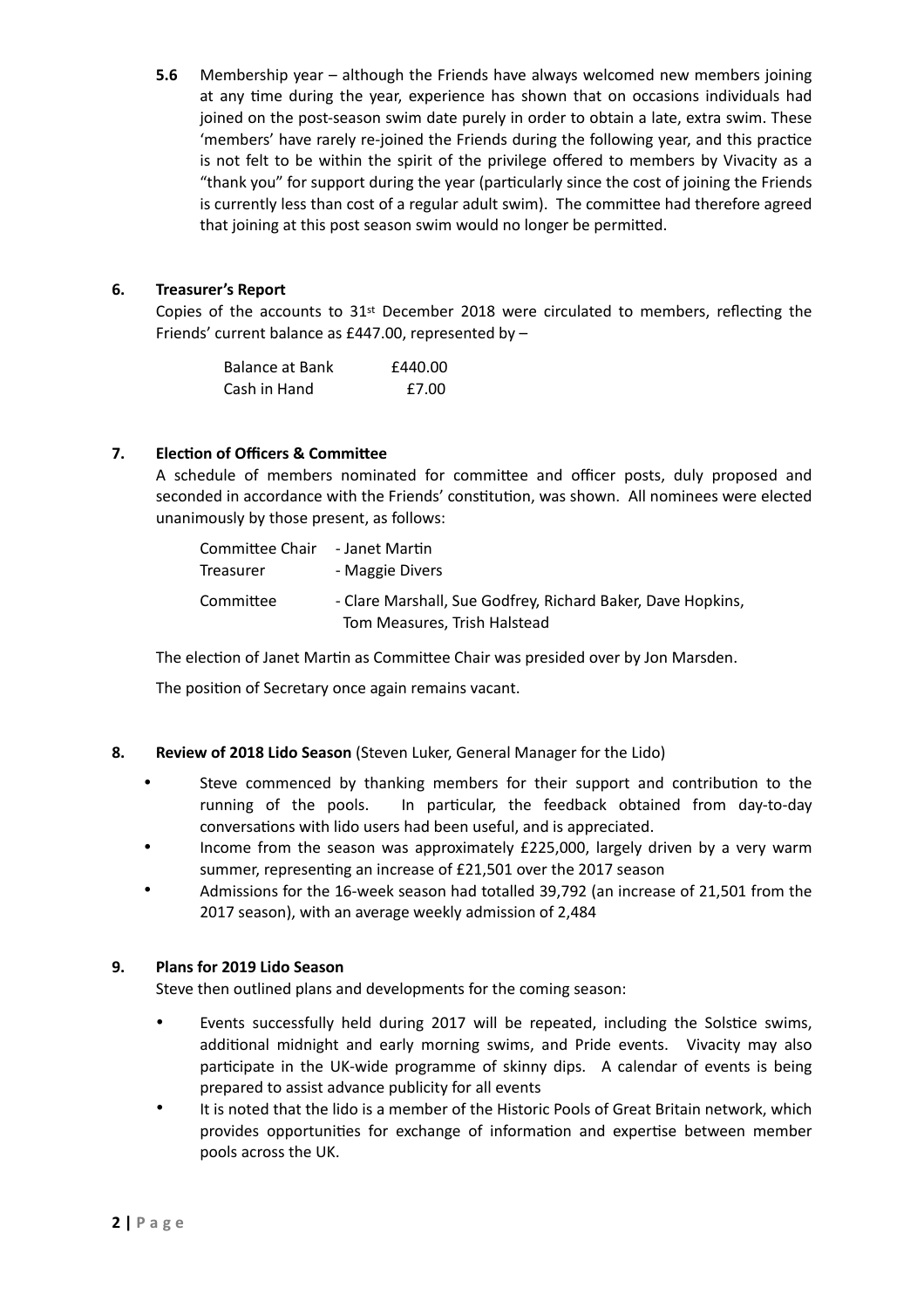**5.6** Membership year – although the Friends have always welcomed new members joining at any time during the year, experience has shown that on occasions individuals had joined on the post-season swim date purely in order to obtain a late, extra swim. These 'members' have rarely re-joined the Friends during the following year, and this practice is not felt to be within the spirit of the privilege offered to members by Vivacity as a "thank you" for support during the year (particularly since the cost of joining the Friends is currently less than cost of a regular adult swim). The committee had therefore agreed that joining at this post season swim would no longer be permitted.

## **6. Treasurer's Report**

Copies of the accounts to  $31<sup>st</sup>$  December 2018 were circulated to members, reflecting the Friends' current balance as £447.00, represented by –

| <b>Balance at Bank</b> | £440.00 |
|------------------------|---------|
| Cash in Hand           | £7.00   |

## **7.** Election of Officers & Committee

A schedule of members nominated for committee and officer posts, duly proposed and seconded in accordance with the Friends' constitution, was shown. All nominees were elected unanimously by those present, as follows:

| Committee Chair - Janet Martin<br>Treasurer | - Maggie Divers                                                                             |
|---------------------------------------------|---------------------------------------------------------------------------------------------|
| Committee                                   | - Clare Marshall, Sue Godfrey, Richard Baker, Dave Hopkins,<br>Tom Measures, Trish Halstead |

The election of Janet Martin as Committee Chair was presided over by Jon Marsden.

The position of Secretary once again remains vacant.

### **8. Review of 2018 Lido Season** (Steven Luker, General Manager for the Lido)

- Steve commenced by thanking members for their support and contribution to the running of the pools. In particular, the feedback obtained from day-to-day conversations with lido users had been useful, and is appreciated.
- Income from the season was approximately £225,000, largely driven by a very warm summer, representing an increase of £21,501 over the 2017 season
- Admissions for the 16-week season had totalled 39,792 (an increase of 21,501 from the 2017 season), with an average weekly admission of 2,484

### **9. Plans for 2019 Lido Season**

Steve then outlined plans and developments for the coming season:

- Events successfully held during 2017 will be repeated, including the Solstice swims, additional midnight and early morning swims, and Pride events. Vivacity may also participate in the UK-wide programme of skinny dips. A calendar of events is being prepared to assist advance publicity for all events
- It is noted that the lido is a member of the Historic Pools of Great Britain network, which provides opportunities for exchange of information and expertise between member pools across the UK.